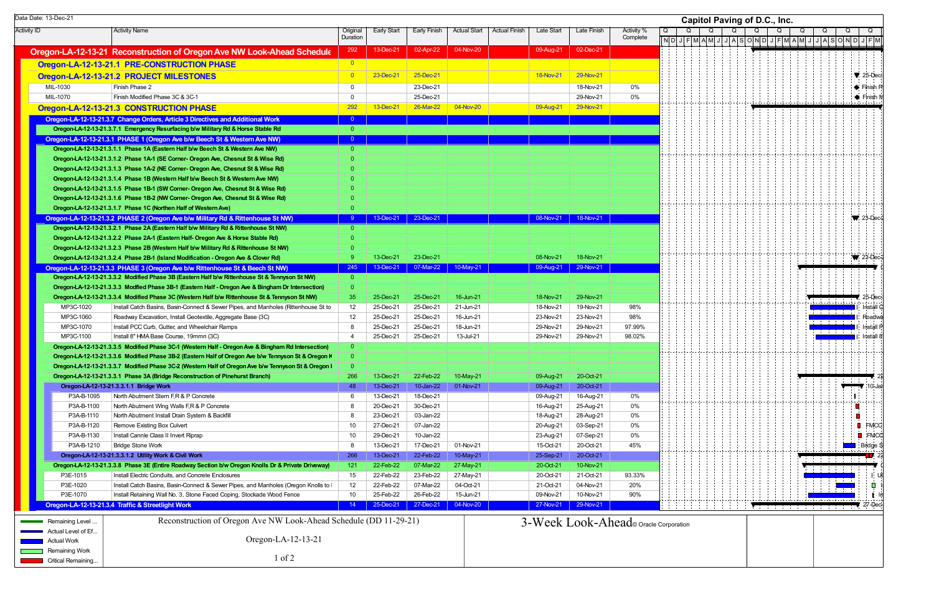Activity ID | Activity Name | Original Duration Early Start Early Finish Actual Start Actual Finish Late Start Late Finish Activity % **Complete Oregon-LA-12-13-21 Reconstruction of Oregon Ave NW Look-Ahead Schedul**  $\vert$ **<sup>292</sup> 13-Dec-21 02-Apr-22 04-Nov-20 09-Aug-21 09-Aug-21 02-Dec-21 Oregon-LA-12-13-21.1 PRE-CONSTRUCTION PHASE Oregon-LA-12-13-21.2 PROJECT MILESTONES 29-Nov-21** 25-Dec-21 25-Dec-21 25-Dec-21 25-Dec-21 28-Nov-21 29-Nov-21 29-Nov-21 MIL-1030 Finish Phase 2 0 23-Dec-21 18-Nov-21 0%MIL-1070 Finish Modified Phase 3C & 3C-1 0 25-Dec-21 29-Nov-21 0%**Oregon-LA-12-13-21.3 CONSTRUCTION PHASE** 292 202 13-Dec-21 26-Mar-22 04-Nov-20 09-Aug-21 29-Nov-21 29-Nov-21 **Oregon-LA-12-13-21. Oregon-LA-12-13-21.3.7 Change Orders, Article 3 Directi 3 ves and Additional Work** <sup>0</sup> **Oregon-LA-12-13-21 Oregon-LA-12-13-21.3.7.1 Emergency Resurfacing b/w M . ilitary Rd & Horse Stable Rd** 0 **Oregon-LA-12-13-21. Oregon-LA-12-13-21.3.1 PHASE 1 (Oregon Ave b/w B 3 eech St & Western Ave NW)** <sup>0</sup> **Oregon-LA-12-13-21.3.1.1 Phase 1A (Eastern Half b/w Beech St & Western Ave NW) Oregon-LA-12-13-21.3.1.2 Phase 1A-1 (SE Corner- Oregon Ave, Chesnut St & Wise Rd) Oregon-LA-12-13-21.3.1.3 Phase 1A-2 (NE Corner- Oregon Ave, Chesnut St & Wise Rd) Oregon-LA-12-13-21.3.1.4 Phase 1B (Western Half b/w Beech St & Western Ave NW) Oregon-LA-12-13-21.3.1.5 Phase 1B-1 (SW Corner- Oregon Ave, Chesnut St & Wise Rd) Oregon-LA-12-13-21.3.1.6 Phase 1B-2 (NW Corner- Oregon Ave, Chesnut St & Wise Rd)** 0 **Oregon-LA-12-13-21.3.1.7 Phase 1C (Northen Half of Western Ave) Oregon-LA-12-13-21.3.2 PHASE 2 (Oregon Ave b/w Military Rd & Rittenhouse St NW)** 3 3 2000-21 23-Dec-21 23-Dec-21 23-Dec-21 3 3-Dec-21 23-Dec-21 3 3-Dec-21 23-Dec-21 23-Dec-21 23-Dec-21 23-Dec-21 23-Dec-21 23-Dec-21 23-Dec **Oregon-LA-12-13-21.3.2.1 Phase 2A (Eastern Half b/w Military Rd & Rittenhouse St NW)** 0 0 **Oregon-LA-12-13-21 Oregon-LA-12-13-21.3.2.2 Ph . ase 2A-1 (Eastern Half- Oregon Ave & Horse Stable Rd)** 0 **Oregon-LA-12-13-21.3.2.3 Phase 2B (Western Half b/w Military Rd & Rittenhouse St NW)** 0 0 **Oregon-LA-12-13-21.3.2.4 Phase 2B-1 (Island Modification - Oregon Ave & Clover Rd)** 9 13-Dec-21 23-Dec-21 23-Dec-21 08-Nov-21 08-Nov-21 18-Nov-21 **Oregon-LA-12-13-21. Oregon-LA-12-13-21.3.3 PHASE 3 (Oregon Ave b/w Rittenhouse St & B 3 eech St NW)** <sup>245</sup> 13-Dec-21 07-Mar-22 10-May-21 09-Aug-21 29-Nov-21 **Oregon-LA-12-13-21.3.3.2 Modified Phase 3B (Eastern Half b/w Rittenhouse St & Tennyson St NW)** 0 **Oregon-LA-12-13-21.3.3.3 Modfied Phase 3B-1 (Eastern Half - Oregon Ave & Bingham Dr Intersection)** 0 **Oregon-LA-12-13-21.3.3.4 Modified Phase 3C (Western Half b/w Rittenhouse St & Tennyson St NW) 35 25-Dec-21 25-Dec-21 16-Jun-21 18-Nov-21 29-Nov-21 29-Nov-21** MP3C-1020 Install Catch Basins, Basin-Connect & Sewer Pipes, and Manholes (Rittenhouse St to 12 25-Dec-21 25-Dec-21 21-Jun-21 18-Nov-21 19-Nov-21 98% MP3C-1060Roadway Excavation, Install Geotextile, Aggregate Base (3C) 12 25-Dec-21 25-Dec-21 25-Dec-21 16-Jun-21 23-Nov-21 23-Nov-21 23-Nov-21 98% MP3C-1070 Install PCC Curb, Gutter, and Wheelchair Ramps 8 25-Dec-21 25-Dec-21 18-Jun-21 29-Nov-21 29-Nov-21 97.99% MP3C-1100 Install 8" HMA Base Course, 19mmn (3C) 4 25-Dec-21 25-Dec-21 13-Jul-21 29-Nov-21 29-Nov-21 98.02% **Oregon-LA-12-13-21.3.3.5 Modified Phase 3C-1 (Western Half - Oregon Ave & Bingham Rd Intersection) Oregon-LA-12-13-21.3.3.6 Modified Phase 3B-2 (Eastern Half of Oregon Ave b/w Tennyson St & Oregon K** 0 **Oregon-LA-12-13-21.3.3.7 Modified Phase 3C-2 (Western Half of Oregon Ave b/w Tennyson St & Oregon K | 0 Oregon-LA-12-13-21.3.3.1 Phase 3A (Bridge Reconstruction of Pinehurst Branch)** 266 13-Dec-21 22-Feb-22 10-May-21 09-Aug-21 09-Aug-21 20-Oct-21 **Oregon-LA-12-13 Oregon-LA-12-13-21.3.3.1.1 Bridge Work -** 48 13-Dec-21 10-Jan-22 01-Nov-21 09-Aug-21 20-Oct-21 P3A-B-1095North Abutment Stem F,R & P Concrete 6 13-Dec-21 18-Dec-21 18-Dec-21 18-Dec-21 09-Aug-21 16-Aug-21 0% P3A-B-1100North Abutment Wing Walls F,R & P Concrete **8 20-Dec-21 30-Dec-21** 30-Dec-21 30-Dec-21 16-Aug-21 25-Aug-21 25-Aug-21 0% P3A-B-1110North Abutment Install Drain System & Backfill **8** 23-Dec-21 03-Jan-22 18-Aug-21 28-Aug-21 28-Aug-21 0% P3A-B-1120Remove Existing Box Culvert **10** 27-Dec-21 07-Jan-22 20-Aug-21 03-Sep-21 03-Sep-21 03-P3A-B-1130Install Cannie Class II Invert Riprap 10 29-Dec-21 10-Jan-22 23-Aug-21 07-Sep-21 0% P3A-B-12100 |Bridge Stone Work 8 | 13-Dec-21 | 17-Dec-21 | 01-Nov-21 | 15-Oct-21 | 20-Oct-21 | 45% **Oregon-LA-12-13-21.3.3.1.2 Utility Work & Civil Work 26 20 20 2000 2000 2000 2000 2000 25-Sep-21 22-Feb-22 10-May-21 25-Sep-21 20-Oct-21 Oregon-LA-12-13-21.3.3.8 Phase 3E (Entire Roadway Section b/w Oregon Knolls Dr & Private Driveway) 121 22-Feb-22 07-Mar-22 27-May-21 20-Oct-21 20-Oct-21 10-Nov-21** P3E-1015Install Electric Conduits, and Concrete Enclosures 15 20 22-Feb-22 23-Feb-22 23-Feb-22 27-May-21 20-Oct-21 21-Oct-21 93.33% P3E-1020 Install Catch Basins, Basin-Connect & Sewer Pipes, and Manholes (Oregon Knolls to P 12 22-Feb-22 07-Mar-22 04-Oct-21 21-Oct-21 04-Nov-21 20% P3E-1070Install Retaining Wall No. 3, Stone Faced Coping, Stockade Wood Fence 10 25-Feb-22 26-Feb-22 15-Jun-21 09-Nov-21 10-Nov-21 90% **Oregon-LA-12-13-21.3.4 Traffic & Streetlight Work 3 3** 14 **35-Dec-21** 27-Dec-21 **27-Dec-21 27-Nov-20** 27-Nov-21 29-Nov-21 29-Nov-21 O $N$  D J  $\Omega$  **Capitol Paving of D.C., Inc.** Remaining Level Actual Level of Ef...Actual Work**Remaining Work** Critical Remaining... Reconstruction of Oregon Ave NW Look-Ahead Schedule (DD 11-29-21) Oregon-LA-12-13-21 1 of 23-Week Look-Ahead© Oracle Corporation

|                         | <b>Capitol Paving of D.C., Inc.</b> |   |                |   |  |       |   |             |   |       |  |   |       |   |   |             |  |                         |   |   |                |                                 |    |                |                    |                         |     |                               |  |  |
|-------------------------|-------------------------------------|---|----------------|---|--|-------|---|-------------|---|-------|--|---|-------|---|---|-------------|--|-------------------------|---|---|----------------|---------------------------------|----|----------------|--------------------|-------------------------|-----|-------------------------------|--|--|
| Q                       |                                     |   | $\overline{Q}$ |   |  | Q     |   |             | Q |       |  | Q |       |   | Q |             |  | $\overline{Q}$          |   |   | $\overline{Q}$ |                                 |    | $\overline{Q}$ |                    |                         | Q   |                               |  |  |
| $\overline{\mathsf{N}}$ | $\mathsf D$                         | J | $\overline{F}$ | M |  | $A$ M | J | $\mathsf J$ |   | $A$ S |  |   | O N D | J |   | $F$ $M$ $A$ |  | $\overline{\mathsf{M}}$ | J | J | $\mathsf{A}$   | s                               |    |                | O[N]               | $\overline{\mathsf{J}}$ | F M |                               |  |  |
|                         |                                     |   |                |   |  |       |   |             |   |       |  |   |       |   |   |             |  |                         |   |   |                |                                 |    |                |                    |                         |     |                               |  |  |
|                         |                                     |   |                |   |  |       |   |             |   |       |  |   |       |   |   |             |  |                         |   |   |                |                                 |    |                |                    |                         |     | 25-Dec-                       |  |  |
|                         |                                     |   |                |   |  |       |   |             |   |       |  |   |       |   |   |             |  |                         |   |   |                |                                 |    |                |                    |                         |     | Finish P                      |  |  |
|                         |                                     |   |                |   |  |       |   |             |   |       |  |   |       |   |   |             |  |                         |   |   |                |                                 |    |                |                    |                         |     | $\blacklozenge$ Finish M      |  |  |
|                         |                                     |   |                |   |  |       |   |             |   |       |  |   |       |   |   |             |  |                         |   |   |                |                                 |    |                |                    |                         |     |                               |  |  |
|                         |                                     |   |                |   |  |       |   |             |   |       |  |   |       |   |   |             |  |                         |   |   |                |                                 |    |                |                    |                         |     |                               |  |  |
|                         |                                     |   |                |   |  |       |   |             |   |       |  |   |       |   |   |             |  |                         |   |   |                |                                 |    |                |                    |                         |     |                               |  |  |
|                         |                                     |   |                |   |  |       |   |             |   |       |  |   |       |   |   |             |  |                         |   |   |                |                                 |    |                |                    |                         |     |                               |  |  |
|                         |                                     |   |                |   |  |       |   |             |   |       |  |   |       |   |   |             |  |                         |   |   |                |                                 |    |                |                    |                         |     |                               |  |  |
|                         |                                     |   |                |   |  |       |   |             |   |       |  |   |       |   |   |             |  |                         |   |   |                |                                 |    |                |                    |                         |     |                               |  |  |
|                         |                                     |   |                |   |  |       |   |             |   |       |  |   |       |   |   |             |  |                         |   |   |                |                                 |    |                |                    |                         |     |                               |  |  |
|                         |                                     |   |                |   |  |       |   |             |   |       |  |   |       |   |   |             |  |                         |   |   |                |                                 |    |                |                    |                         |     |                               |  |  |
|                         |                                     |   |                |   |  |       |   |             |   |       |  |   |       |   |   |             |  |                         |   |   |                |                                 |    |                |                    |                         |     |                               |  |  |
|                         |                                     |   |                |   |  |       |   |             |   |       |  |   |       |   |   |             |  |                         |   |   |                |                                 |    |                |                    |                         |     | 23-Dec-2                      |  |  |
|                         |                                     |   |                |   |  |       |   |             |   |       |  |   |       |   |   |             |  |                         |   |   |                |                                 |    |                |                    |                         |     |                               |  |  |
|                         |                                     |   |                |   |  |       |   |             |   |       |  |   |       |   |   |             |  |                         |   |   |                |                                 |    |                |                    |                         |     |                               |  |  |
|                         |                                     |   |                |   |  |       |   |             |   |       |  |   |       |   |   |             |  |                         |   |   |                |                                 |    |                |                    |                         |     | $\blacktriangledown$ 23-Dec-2 |  |  |
|                         |                                     |   |                |   |  |       |   |             |   |       |  |   |       |   |   |             |  |                         |   |   |                |                                 |    |                |                    |                         |     |                               |  |  |
|                         |                                     |   |                |   |  |       |   |             |   |       |  |   |       |   |   |             |  |                         |   |   |                |                                 |    |                |                    |                         |     |                               |  |  |
|                         |                                     |   |                |   |  |       |   |             |   |       |  |   |       |   |   |             |  |                         |   |   |                | $\frac{1}{2}$ , $\frac{1}{2}$ , |    |                |                    |                         |     | 25-Dec-                       |  |  |
|                         |                                     |   |                |   |  |       |   |             |   |       |  |   |       |   |   |             |  |                         |   |   |                |                                 | Τ  |                | Ę                  |                         |     | Install C                     |  |  |
|                         |                                     |   |                |   |  |       |   |             |   |       |  |   |       |   |   |             |  |                         |   |   |                |                                 |    |                | Ľ<br>E             |                         |     | Roadwa<br>Install P           |  |  |
|                         |                                     |   |                |   |  |       |   |             |   |       |  |   |       |   |   |             |  |                         |   |   |                | ÷.<br>÷.                        |    |                | B                  |                         |     | Install 8                     |  |  |
|                         |                                     |   |                |   |  |       |   |             |   |       |  |   |       |   |   |             |  |                         |   |   |                |                                 |    |                |                    |                         |     |                               |  |  |
|                         |                                     |   |                |   |  |       |   |             |   |       |  |   |       |   |   |             |  |                         |   |   |                |                                 |    |                |                    |                         |     |                               |  |  |
|                         |                                     |   |                |   |  |       |   |             |   |       |  |   |       |   |   |             |  |                         |   |   |                |                                 | ÷  |                | Ŧ<br>$\frac{1}{4}$ |                         |     | 2                             |  |  |
|                         |                                     |   |                |   |  |       |   |             |   |       |  |   |       |   |   |             |  |                         |   |   |                |                                 |    |                |                    |                         |     | $ 10 -$ Jar                   |  |  |
|                         |                                     |   |                |   |  |       |   |             |   |       |  |   |       |   |   |             |  |                         |   |   |                |                                 |    |                |                    |                         |     |                               |  |  |
|                         |                                     |   |                |   |  |       |   |             |   |       |  |   |       |   |   |             |  |                         |   |   |                |                                 |    |                |                    |                         |     |                               |  |  |
|                         |                                     |   |                |   |  |       |   |             |   |       |  |   |       |   |   |             |  |                         |   |   |                |                                 |    |                | ا<br>ا             |                         |     | FMCC                          |  |  |
|                         |                                     |   |                |   |  |       |   |             |   |       |  |   |       |   |   |             |  |                         |   |   |                |                                 |    |                |                    |                         |     | FMCC                          |  |  |
|                         |                                     |   |                |   |  |       |   |             |   |       |  |   |       |   |   |             |  |                         |   |   |                |                                 | L. | $-1$           |                    |                         | T   | <mark>l</mark> Bridge S<br>27 |  |  |
|                         |                                     |   |                |   |  |       |   |             |   |       |  |   |       |   |   |             |  |                         |   |   |                |                                 |    |                | ÷                  |                         |     |                               |  |  |
|                         |                                     |   |                |   |  |       |   |             |   |       |  |   |       |   |   |             |  |                         |   |   |                |                                 |    |                |                    |                         |     | υþ                            |  |  |
|                         |                                     |   |                |   |  |       |   |             |   |       |  |   |       |   |   |             |  |                         |   |   |                |                                 |    |                |                    |                         |     |                               |  |  |
|                         |                                     |   |                |   |  |       |   |             |   |       |  |   |       |   |   |             |  |                         |   | Ц |                | $-1 -$                          |    |                |                    |                         |     | Iņ<br>$27 - Dec$              |  |  |
| orporation              |                                     |   |                |   |  |       |   |             |   |       |  |   |       |   |   |             |  |                         |   |   |                |                                 |    |                |                    |                         |     |                               |  |  |
|                         |                                     |   |                |   |  |       |   |             |   |       |  |   |       |   |   |             |  |                         |   |   |                |                                 |    |                |                    |                         |     |                               |  |  |
|                         |                                     |   |                |   |  |       |   |             |   |       |  |   |       |   |   |             |  |                         |   |   |                |                                 |    |                |                    |                         |     |                               |  |  |
|                         |                                     |   |                |   |  |       |   |             |   |       |  |   |       |   |   |             |  |                         |   |   |                |                                 |    |                |                    |                         |     |                               |  |  |
|                         |                                     |   |                |   |  |       |   |             |   |       |  |   |       |   |   |             |  |                         |   |   |                |                                 |    |                |                    |                         |     |                               |  |  |

Data Date: 13-Dec-21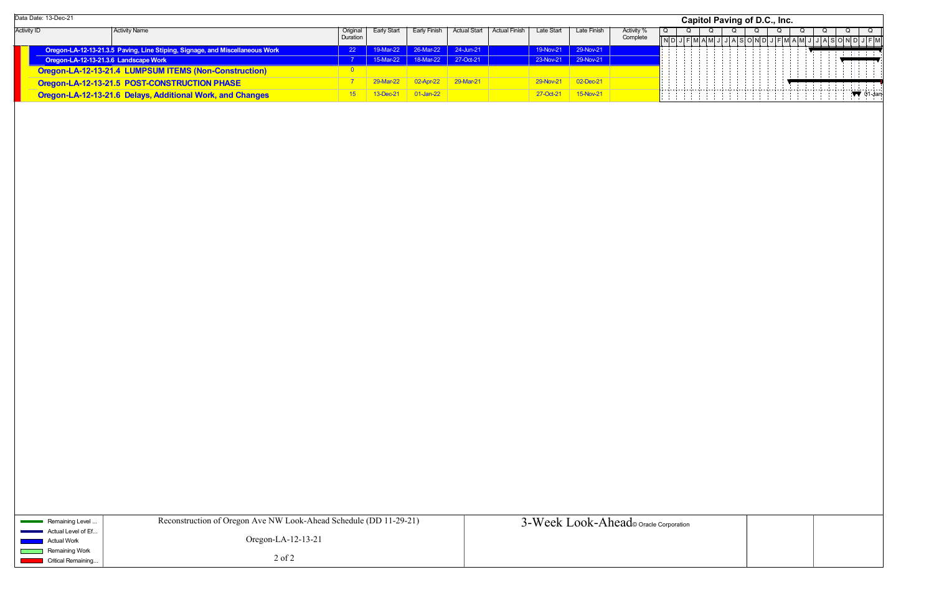|                    | Data Date: 13-Dec-21                  |                                                                              |               |                 |                                         |              |               |            |                     |            |  | Capitol Paving of D.C., Inc. |  |  |
|--------------------|---------------------------------------|------------------------------------------------------------------------------|---------------|-----------------|-----------------------------------------|--------------|---------------|------------|---------------------|------------|--|------------------------------|--|--|
| <b>Activity ID</b> |                                       | Activity Name                                                                | Original      | Early Start     | Early Finish                            | Actual Start | Actual Finish | Late Start | Late Finish         | Activity % |  |                              |  |  |
|                    |                                       |                                                                              | Duration      |                 |                                         |              |               |            |                     | Complete   |  |                              |  |  |
|                    |                                       | Oregon-LA-12-13-21.3.5 Paving, Line Stiping, Signage, and Miscellaneous Work | <sup>22</sup> |                 | 19-Mar-22 26-Mar-22 24-Jun-21 24-Jun-21 |              |               |            | 19-Nov-21 29-Nov-21 |            |  |                              |  |  |
|                    | Oregon-LA-12-13-21.3.6 Landscape Work |                                                                              |               |                 | 15-Mar-22 18-Mar-22 27-Oct-21           |              |               |            | 23-Nov-21 29-Nov-21 |            |  |                              |  |  |
|                    |                                       | Oregon-LA-12-13-21.4 LUMPSUM ITEMS (Non-Construction)                        |               |                 |                                         |              |               |            |                     |            |  |                              |  |  |
|                    |                                       | Oregon-LA-12-13-21.5 POST-CONSTRUCTION PHASE                                 |               | 29-Mar-22       | 02-Apr-22                               | $29-Mar-21$  |               | 29-Nov-21  | 02-Dec-21           |            |  |                              |  |  |
|                    |                                       | Oregon-LA-12-13-21.6 Delays, Additional Work, and Changes                    |               | $13$ -Dec-2 $*$ | $01$ -Jan-22                            |              |               | 27-Oct-21  | 15-Nov-21           |            |  |                              |  |  |

|   | Capitol Paving of D.C., Inc.<br>Q<br>Q<br>Q<br>Q<br>Q<br>Q<br>Q<br>Q<br><b>ASOND</b><br><b>JASOND</b> |            |  |  |  |  |                     |             |  |  |  |  |  |  |  |                         |  |  |    |                     |   |             |
|---|-------------------------------------------------------------------------------------------------------|------------|--|--|--|--|---------------------|-------------|--|--|--|--|--|--|--|-------------------------|--|--|----|---------------------|---|-------------|
| Q |                                                                                                       |            |  |  |  |  |                     |             |  |  |  |  |  |  |  |                         |  |  |    |                     |   | Q           |
|   | $\overline{N}$ D                                                                                      | J          |  |  |  |  | $F$ $M$ $A$ $M$ $J$ | $\mathsf J$ |  |  |  |  |  |  |  | $J$ $F$ $M$ $A$ $M$ $J$ |  |  |    |                     |   | $J$ $F$ $M$ |
|   |                                                                                                       |            |  |  |  |  |                     |             |  |  |  |  |  |  |  |                         |  |  | Ť, | $\mathbb{R}^n$<br>Ŧ | Ŧ | ÷           |
|   |                                                                                                       |            |  |  |  |  |                     |             |  |  |  |  |  |  |  |                         |  |  |    |                     |   |             |
|   |                                                                                                       |            |  |  |  |  |                     |             |  |  |  |  |  |  |  |                         |  |  |    |                     |   |             |
|   |                                                                                                       |            |  |  |  |  |                     |             |  |  |  |  |  |  |  |                         |  |  |    | t.                  |   | $01$ -Jan-  |
|   |                                                                                                       |            |  |  |  |  |                     |             |  |  |  |  |  |  |  |                         |  |  |    |                     |   |             |
|   |                                                                                                       |            |  |  |  |  |                     |             |  |  |  |  |  |  |  |                         |  |  |    |                     |   |             |
|   |                                                                                                       |            |  |  |  |  |                     |             |  |  |  |  |  |  |  |                         |  |  |    |                     |   |             |
|   |                                                                                                       |            |  |  |  |  |                     |             |  |  |  |  |  |  |  |                         |  |  |    |                     |   |             |
|   |                                                                                                       |            |  |  |  |  |                     |             |  |  |  |  |  |  |  |                         |  |  |    |                     |   |             |
|   |                                                                                                       |            |  |  |  |  |                     |             |  |  |  |  |  |  |  |                         |  |  |    |                     |   |             |
|   |                                                                                                       |            |  |  |  |  |                     |             |  |  |  |  |  |  |  |                         |  |  |    |                     |   |             |
|   |                                                                                                       |            |  |  |  |  |                     |             |  |  |  |  |  |  |  |                         |  |  |    |                     |   |             |
|   |                                                                                                       |            |  |  |  |  |                     |             |  |  |  |  |  |  |  |                         |  |  |    |                     |   |             |
|   |                                                                                                       |            |  |  |  |  |                     |             |  |  |  |  |  |  |  |                         |  |  |    |                     |   |             |
|   |                                                                                                       |            |  |  |  |  |                     |             |  |  |  |  |  |  |  |                         |  |  |    |                     |   |             |
|   |                                                                                                       |            |  |  |  |  |                     |             |  |  |  |  |  |  |  |                         |  |  |    |                     |   |             |
|   |                                                                                                       |            |  |  |  |  |                     |             |  |  |  |  |  |  |  |                         |  |  |    |                     |   |             |
|   |                                                                                                       |            |  |  |  |  |                     |             |  |  |  |  |  |  |  |                         |  |  |    |                     |   |             |
|   |                                                                                                       |            |  |  |  |  |                     |             |  |  |  |  |  |  |  |                         |  |  |    |                     |   |             |
|   |                                                                                                       |            |  |  |  |  |                     |             |  |  |  |  |  |  |  |                         |  |  |    |                     |   |             |
|   |                                                                                                       |            |  |  |  |  |                     |             |  |  |  |  |  |  |  |                         |  |  |    |                     |   |             |
|   |                                                                                                       |            |  |  |  |  |                     |             |  |  |  |  |  |  |  |                         |  |  |    |                     |   |             |
|   |                                                                                                       |            |  |  |  |  |                     |             |  |  |  |  |  |  |  |                         |  |  |    |                     |   |             |
|   |                                                                                                       |            |  |  |  |  |                     |             |  |  |  |  |  |  |  |                         |  |  |    |                     |   |             |
|   |                                                                                                       |            |  |  |  |  |                     |             |  |  |  |  |  |  |  |                         |  |  |    |                     |   |             |
|   |                                                                                                       |            |  |  |  |  |                     |             |  |  |  |  |  |  |  |                         |  |  |    |                     |   |             |
|   |                                                                                                       |            |  |  |  |  |                     |             |  |  |  |  |  |  |  |                         |  |  |    |                     |   |             |
|   |                                                                                                       |            |  |  |  |  |                     |             |  |  |  |  |  |  |  |                         |  |  |    |                     |   |             |
|   |                                                                                                       |            |  |  |  |  |                     |             |  |  |  |  |  |  |  |                         |  |  |    |                     |   |             |
|   |                                                                                                       |            |  |  |  |  |                     |             |  |  |  |  |  |  |  |                         |  |  |    |                     |   |             |
|   |                                                                                                       |            |  |  |  |  |                     |             |  |  |  |  |  |  |  |                         |  |  |    |                     |   |             |
|   |                                                                                                       |            |  |  |  |  |                     |             |  |  |  |  |  |  |  |                         |  |  |    |                     |   |             |
|   |                                                                                                       |            |  |  |  |  |                     |             |  |  |  |  |  |  |  |                         |  |  |    |                     |   |             |
|   |                                                                                                       |            |  |  |  |  |                     |             |  |  |  |  |  |  |  |                         |  |  |    |                     |   |             |
|   |                                                                                                       |            |  |  |  |  |                     |             |  |  |  |  |  |  |  |                         |  |  |    |                     |   |             |
|   |                                                                                                       |            |  |  |  |  |                     |             |  |  |  |  |  |  |  |                         |  |  |    |                     |   |             |
|   |                                                                                                       |            |  |  |  |  |                     |             |  |  |  |  |  |  |  |                         |  |  |    |                     |   |             |
|   |                                                                                                       | orporation |  |  |  |  |                     |             |  |  |  |  |  |  |  |                         |  |  |    |                     |   |             |
|   |                                                                                                       |            |  |  |  |  |                     |             |  |  |  |  |  |  |  |                         |  |  |    |                     |   |             |
|   |                                                                                                       |            |  |  |  |  |                     |             |  |  |  |  |  |  |  |                         |  |  |    |                     |   |             |
|   |                                                                                                       |            |  |  |  |  |                     |             |  |  |  |  |  |  |  |                         |  |  |    |                     |   |             |

| Remaining Level                           | Reconstruction of Oregon Ave NW Look-Ahead Schedule (DD 11-29-21) | 3-Week Look-Ahead oracle Corporation |
|-------------------------------------------|-------------------------------------------------------------------|--------------------------------------|
| Actual Level of Ef                        |                                                                   |                                      |
| Actual Work                               | Oregon-LA- $12-13-21$                                             |                                      |
| Remaining Work                            |                                                                   |                                      |
| <b>Critical Remaining</b><br><b>STATE</b> | $2$ of $2$                                                        |                                      |
|                                           |                                                                   |                                      |